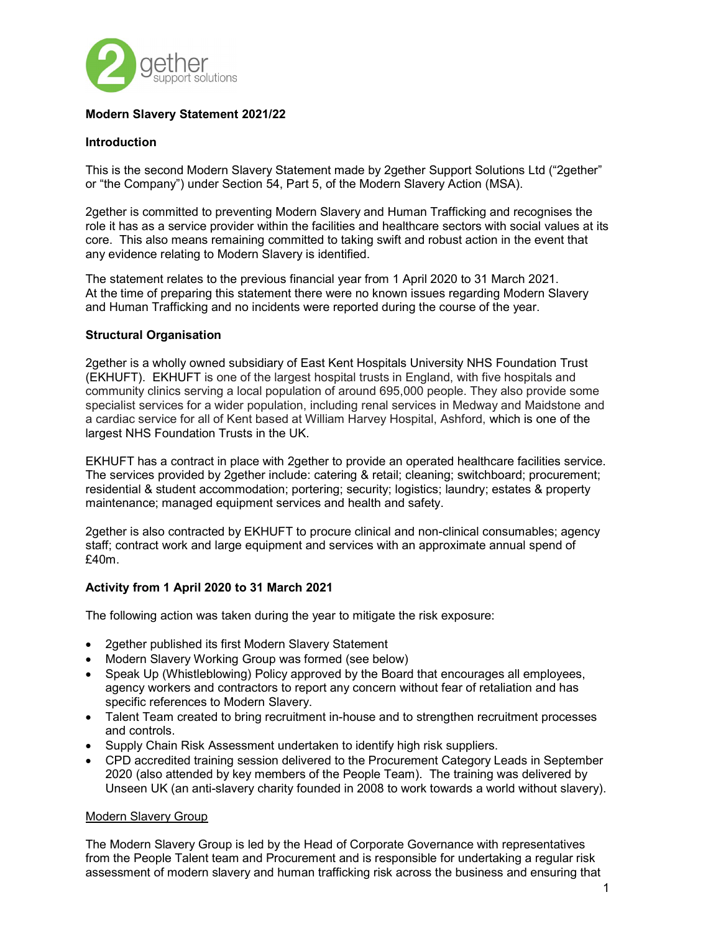

# Modern Slavery Statement 2021/22

### Introduction

This is the second Modern Slavery Statement made by 2gether Support Solutions Ltd ("2gether" or "the Company") under Section 54, Part 5, of the Modern Slavery Action (MSA).

2gether is committed to preventing Modern Slavery and Human Trafficking and recognises the role it has as a service provider within the facilities and healthcare sectors with social values at its core. This also means remaining committed to taking swift and robust action in the event that any evidence relating to Modern Slavery is identified.

The statement relates to the previous financial year from 1 April 2020 to 31 March 2021. At the time of preparing this statement there were no known issues regarding Modern Slavery and Human Trafficking and no incidents were reported during the course of the year.

### Structural Organisation

2gether is a wholly owned subsidiary of East Kent Hospitals University NHS Foundation Trust (EKHUFT). EKHUFT is one of the largest hospital trusts in England, with five hospitals and community clinics serving a local population of around 695,000 people. They also provide some specialist services for a wider population, including renal services in Medway and Maidstone and a cardiac service for all of Kent based at William Harvey Hospital, Ashford, which is one of the largest NHS Foundation Trusts in the UK.

EKHUFT has a contract in place with 2gether to provide an operated healthcare facilities service. The services provided by 2gether include: catering & retail; cleaning; switchboard; procurement; residential & student accommodation; portering; security; logistics; laundry; estates & property maintenance; managed equipment services and health and safety.

2gether is also contracted by EKHUFT to procure clinical and non-clinical consumables; agency staff; contract work and large equipment and services with an approximate annual spend of £40m.

#### Activity from 1 April 2020 to 31 March 2021

The following action was taken during the year to mitigate the risk exposure:

- 2gether published its first Modern Slavery Statement
- Modern Slavery Working Group was formed (see below)
- Speak Up (Whistleblowing) Policy approved by the Board that encourages all employees, agency workers and contractors to report any concern without fear of retaliation and has specific references to Modern Slavery.
- Talent Team created to bring recruitment in-house and to strengthen recruitment processes and controls.
- Supply Chain Risk Assessment undertaken to identify high risk suppliers.
- CPD accredited training session delivered to the Procurement Category Leads in September 2020 (also attended by key members of the People Team). The training was delivered by Unseen UK (an anti-slavery charity founded in 2008 to work towards a world without slavery).

#### Modern Slavery Group

The Modern Slavery Group is led by the Head of Corporate Governance with representatives from the People Talent team and Procurement and is responsible for undertaking a regular risk assessment of modern slavery and human trafficking risk across the business and ensuring that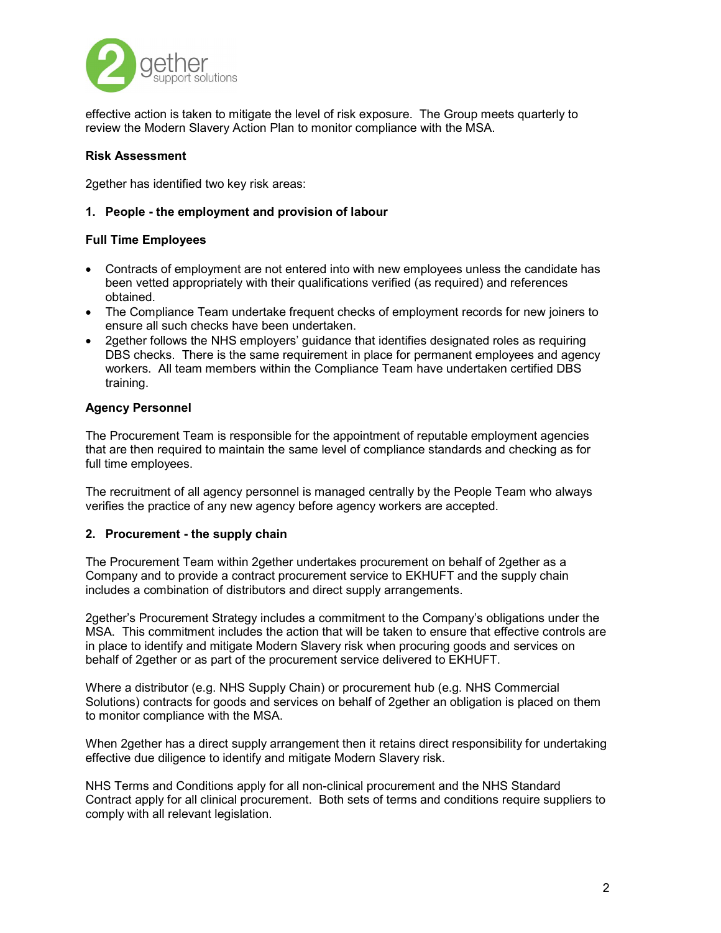

effective action is taken to mitigate the level of risk exposure. The Group meets quarterly to review the Modern Slavery Action Plan to monitor compliance with the MSA.

### Risk Assessment

2gether has identified two key risk areas:

### 1. People - the employment and provision of labour

### Full Time Employees

- Contracts of employment are not entered into with new employees unless the candidate has been vetted appropriately with their qualifications verified (as required) and references obtained.
- The Compliance Team undertake frequent checks of employment records for new joiners to ensure all such checks have been undertaken.
- 2gether follows the NHS employers' guidance that identifies designated roles as requiring DBS checks. There is the same requirement in place for permanent employees and agency workers. All team members within the Compliance Team have undertaken certified DBS training.

### Agency Personnel

The Procurement Team is responsible for the appointment of reputable employment agencies that are then required to maintain the same level of compliance standards and checking as for full time employees.

The recruitment of all agency personnel is managed centrally by the People Team who always verifies the practice of any new agency before agency workers are accepted.

#### 2. Procurement - the supply chain

The Procurement Team within 2gether undertakes procurement on behalf of 2gether as a Company and to provide a contract procurement service to EKHUFT and the supply chain includes a combination of distributors and direct supply arrangements.

2gether's Procurement Strategy includes a commitment to the Company's obligations under the MSA. This commitment includes the action that will be taken to ensure that effective controls are in place to identify and mitigate Modern Slavery risk when procuring goods and services on behalf of 2gether or as part of the procurement service delivered to EKHUFT.

Where a distributor (e.g. NHS Supply Chain) or procurement hub (e.g. NHS Commercial Solutions) contracts for goods and services on behalf of 2gether an obligation is placed on them to monitor compliance with the MSA.

When 2gether has a direct supply arrangement then it retains direct responsibility for undertaking effective due diligence to identify and mitigate Modern Slavery risk.

NHS Terms and Conditions apply for all non-clinical procurement and the NHS Standard Contract apply for all clinical procurement. Both sets of terms and conditions require suppliers to comply with all relevant legislation.